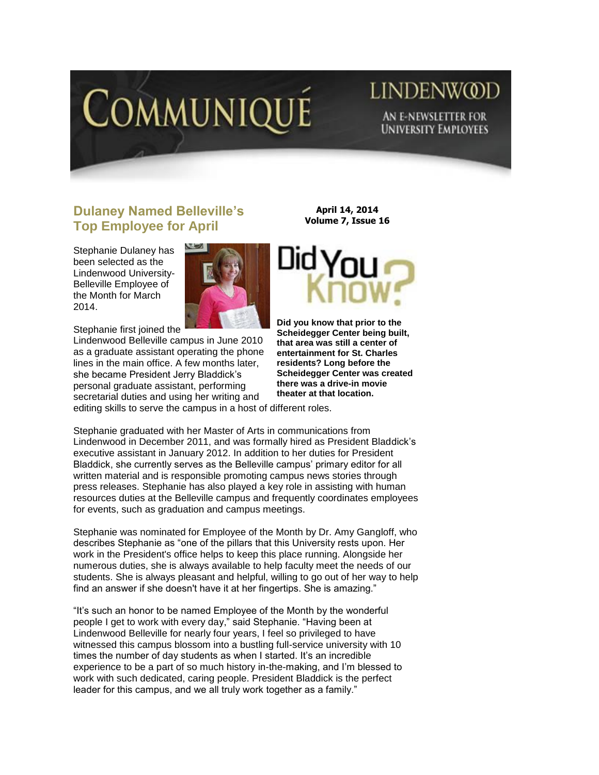

# LINDENW@D AN E-NEWSLETTER FOR **UNIVERSITY EMPLOYEES**

## **Dulaney Named Belleville's Top Employee for April**

Stephanie Dulaney has been selected as the Lindenwood University-Belleville Employee of the Month for March 2014.



Stephanie first joined the

Lindenwood Belleville campus in June 2010 as a graduate assistant operating the phone lines in the main office. A few months later, she became President Jerry Bladdick"s personal graduate assistant, performing secretarial duties and using her writing and

**April 14, 2014 Volume 7, Issue 16**



**Did you know that prior to the Scheidegger Center being built, that area was still a center of entertainment for St. Charles residents? Long before the Scheidegger Center was created there was a drive-in movie theater at that location.** 

editing skills to serve the campus in a host of different roles.

Stephanie graduated with her Master of Arts in communications from Lindenwood in December 2011, and was formally hired as President Bladdick"s executive assistant in January 2012. In addition to her duties for President Bladdick, she currently serves as the Belleville campus' primary editor for all written material and is responsible promoting campus news stories through press releases. Stephanie has also played a key role in assisting with human resources duties at the Belleville campus and frequently coordinates employees for events, such as graduation and campus meetings.

Stephanie was nominated for Employee of the Month by Dr. Amy Gangloff, who describes Stephanie as "one of the pillars that this University rests upon. Her work in the President's office helps to keep this place running. Alongside her numerous duties, she is always available to help faculty meet the needs of our students. She is always pleasant and helpful, willing to go out of her way to help find an answer if she doesn't have it at her fingertips. She is amazing."

"It"s such an honor to be named Employee of the Month by the wonderful people I get to work with every day," said Stephanie. "Having been at Lindenwood Belleville for nearly four years, I feel so privileged to have witnessed this campus blossom into a bustling full-service university with 10 times the number of day students as when I started. It's an incredible experience to be a part of so much history in-the-making, and I"m blessed to work with such dedicated, caring people. President Bladdick is the perfect leader for this campus, and we all truly work together as a family."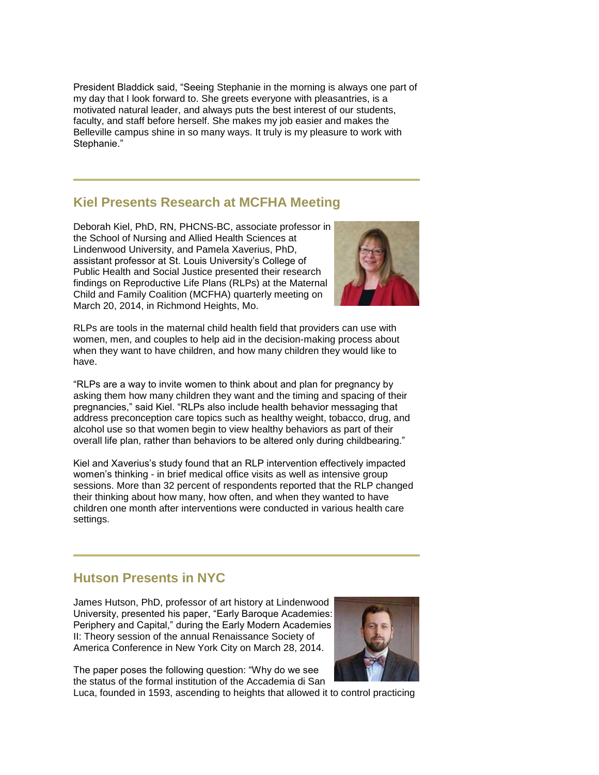President Bladdick said, "Seeing Stephanie in the morning is always one part of my day that I look forward to. She greets everyone with pleasantries, is a motivated natural leader, and always puts the best interest of our students, faculty, and staff before herself. She makes my job easier and makes the Belleville campus shine in so many ways. It truly is my pleasure to work with Stephanie."

## **Kiel Presents Research at MCFHA Meeting**

Deborah Kiel, PhD, RN, PHCNS-BC, associate professor in the School of Nursing and Allied Health Sciences at Lindenwood University, and Pamela Xaverius, PhD, assistant professor at St. Louis University"s College of Public Health and Social Justice presented their research findings on Reproductive Life Plans (RLPs) at the Maternal Child and Family Coalition (MCFHA) quarterly meeting on March 20, 2014, in Richmond Heights, Mo.



RLPs are tools in the maternal child health field that providers can use with women, men, and couples to help aid in the decision-making process about when they want to have children, and how many children they would like to have.

"RLPs are a way to invite women to think about and plan for pregnancy by asking them how many children they want and the timing and spacing of their pregnancies," said Kiel. "RLPs also include health behavior messaging that address preconception care topics such as healthy weight, tobacco, drug, and alcohol use so that women begin to view healthy behaviors as part of their overall life plan, rather than behaviors to be altered only during childbearing."

Kiel and Xaverius's study found that an RLP intervention effectively impacted women's thinking - in brief medical office visits as well as intensive group sessions. More than 32 percent of respondents reported that the RLP changed their thinking about how many, how often, and when they wanted to have children one month after interventions were conducted in various health care settings.

### **Hutson Presents in NYC**

James Hutson, PhD, professor of art history at Lindenwood University, presented his paper, "Early Baroque Academies: Periphery and Capital," during the Early Modern Academies II: Theory session of the annual Renaissance Society of America Conference in New York City on March 28, 2014.



The paper poses the following question: "Why do we see the status of the formal institution of the Accademia di San

Luca, founded in 1593, ascending to heights that allowed it to control practicing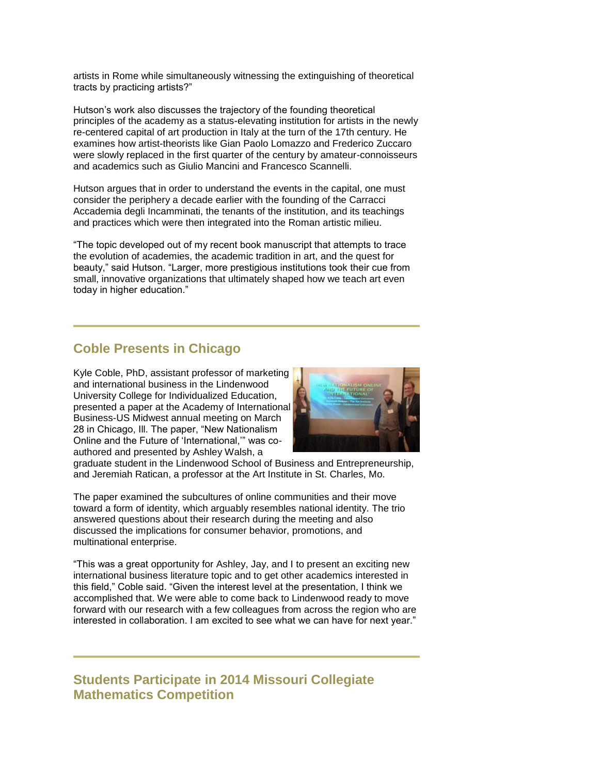artists in Rome while simultaneously witnessing the extinguishing of theoretical tracts by practicing artists?"

Hutson"s work also discusses the trajectory of the founding theoretical principles of the academy as a status-elevating institution for artists in the newly re-centered capital of art production in Italy at the turn of the 17th century. He examines how artist-theorists like Gian Paolo Lomazzo and Frederico Zuccaro were slowly replaced in the first quarter of the century by amateur-connoisseurs and academics such as Giulio Mancini and Francesco Scannelli.

Hutson argues that in order to understand the events in the capital, one must consider the periphery a decade earlier with the founding of the Carracci Accademia degli Incamminati, the tenants of the institution, and its teachings and practices which were then integrated into the Roman artistic milieu.

"The topic developed out of my recent book manuscript that attempts to trace the evolution of academies, the academic tradition in art, and the quest for beauty," said Hutson. "Larger, more prestigious institutions took their cue from small, innovative organizations that ultimately shaped how we teach art even today in higher education."

### **Coble Presents in Chicago**

Kyle Coble, PhD, assistant professor of marketing and international business in the Lindenwood University College for Individualized Education, presented a paper at the Academy of International Business-US Midwest annual meeting on March 28 in Chicago, Ill. The paper, "New Nationalism Online and the Future of "International,"" was coauthored and presented by Ashley Walsh, a



graduate student in the Lindenwood School of Business and Entrepreneurship, and Jeremiah Ratican, a professor at the Art Institute in St. Charles, Mo.

The paper examined the subcultures of online communities and their move toward a form of identity, which arguably resembles national identity. The trio answered questions about their research during the meeting and also discussed the implications for consumer behavior, promotions, and multinational enterprise.

"This was a great opportunity for Ashley, Jay, and I to present an exciting new international business literature topic and to get other academics interested in this field," Coble said. "Given the interest level at the presentation, I think we accomplished that. We were able to come back to Lindenwood ready to move forward with our research with a few colleagues from across the region who are interested in collaboration. I am excited to see what we can have for next year."

**Students Participate in 2014 Missouri Collegiate Mathematics Competition**